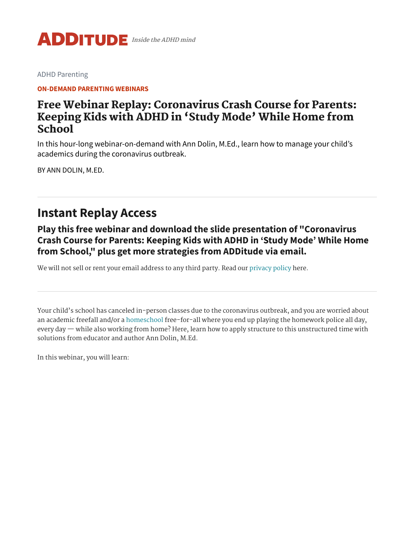

[ADHD Parenting](https://www.additudemag.com/category/parenting-adhd-kids/)

**[ON-DEMAND](https://www.additudemag.com/category/parenting-adhd-kids/webinar-parents/) PARENTING WEBINARS**

### Free Webinar Replay: Coronavirus Crash Course for Parents: Keeping Kids with ADHD in 'Study Mode' While Home from School

In this hour-long webinar-on-demand with Ann Dolin, M.Ed., learn how to manage your child's academics during the coronavirus outbreak.

BY [ANN DOLIN, M.ED.](https://www.additudemag.com/author/ann-dolin-m-ed/)

# **Instant Replay Access**

**Play this free webinar and download the slide presentation of "Coronavirus Crash Course for Parents: Keeping Kids with ADHD in 'Study Mode' While Home from School, " plus get more strategies from ADDitude via email.**

We will not sell or rent your email address to any third party. Read our [privacy](https://www.additudemag.com/privacy/) policy here.

Your child's school has canceled in-person classes due to the coronavirus outbreak, and you are worried about an academic freefall and/or a [homeschool](https://www.additudemag.com/home-team-advantage/) free-for-all where you end up playing the homework police all day, every day — while also working from home? Here, learn how to apply structure to this unstructured time with solutions from educator and author Ann Dolin, M.Ed.

In this webinar, you will learn: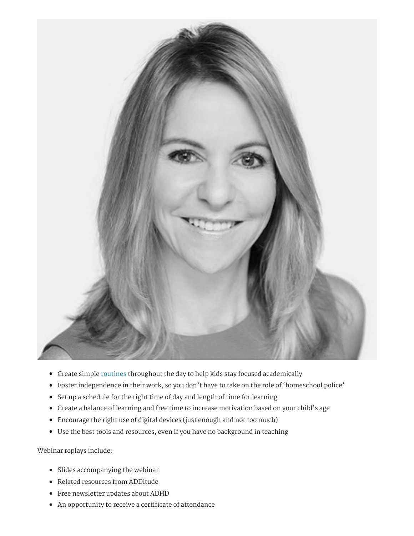

- Create simple [routines](https://www.additudemag.com/download/adhd-schedules-family-routines/) throughout the day to help kids stay focused academically
- Foster independence in their work, so you don't have to take on the role of 'homeschool police'
- Set up a schedule for the right time of day and length of time for learning
- Create a balance of learning and free time to increase motivation based on your child's age
- Encourage the right use of digital devices (just enough and not too much)
- Use the best tools and resources, even if you have no background in teaching

Webinar replays include:

- Slides accompanying the webinar
- Related resources from ADDitude
- Free newsletter updates about ADHD
- An opportunity to receive a certificate of attendance